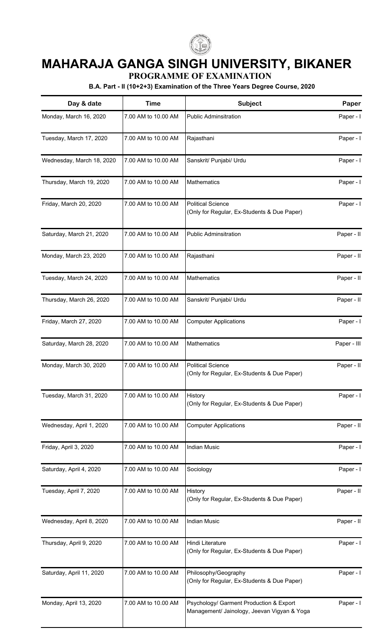

## **MAHARAJA GANGA SINGH UNIVERSITY, BIKANER**

**PROGRAMME OF EXAMINATION**

**B.A. Part - II (10+2+3) Examination of the Three Years Degree Course, 2020**

| Day & date                | <b>Time</b>         | <b>Subject</b>                                                                         | Paper       |
|---------------------------|---------------------|----------------------------------------------------------------------------------------|-------------|
| Monday, March 16, 2020    | 7.00 AM to 10.00 AM | <b>Public Adminsitration</b>                                                           | Paper - I   |
| Tuesday, March 17, 2020   | 7.00 AM to 10.00 AM | Rajasthani                                                                             | Paper - I   |
| Wednesday, March 18, 2020 | 7.00 AM to 10.00 AM | Sanskrit/ Punjabi/ Urdu                                                                | Paper - I   |
| Thursday, March 19, 2020  | 7.00 AM to 10.00 AM | Mathematics                                                                            | Paper - I   |
| Friday, March 20, 2020    | 7.00 AM to 10.00 AM | <b>Political Science</b><br>(Only for Regular, Ex-Students & Due Paper)                | Paper - I   |
| Saturday, March 21, 2020  | 7.00 AM to 10.00 AM | <b>Public Adminsitration</b>                                                           | Paper - II  |
| Monday, March 23, 2020    | 7.00 AM to 10.00 AM | Rajasthani                                                                             | Paper - II  |
| Tuesday, March 24, 2020   | 7.00 AM to 10.00 AM | Mathematics                                                                            | Paper - II  |
| Thursday, March 26, 2020  | 7.00 AM to 10.00 AM | Sanskrit/ Punjabi/ Urdu                                                                | Paper - II  |
| Friday, March 27, 2020    | 7.00 AM to 10.00 AM | <b>Computer Applications</b>                                                           | Paper - I   |
| Saturday, March 28, 2020  | 7.00 AM to 10.00 AM | <b>Mathematics</b>                                                                     | Paper - III |
| Monday, March 30, 2020    | 7.00 AM to 10.00 AM | <b>Political Science</b><br>(Only for Regular, Ex-Students & Due Paper)                | Paper - II  |
| Tuesday, March 31, 2020   | 7.00 AM to 10.00 AM | History<br>(Only for Regular, Ex-Students & Due Paper)                                 | Paper - I   |
| Wednesday, April 1, 2020  | 7.00 AM to 10.00 AM | <b>Computer Applications</b>                                                           | Paper - II  |
| Friday, April 3, 2020     | 7.00 AM to 10.00 AM | <b>Indian Music</b>                                                                    | Paper - I   |
| Saturday, April 4, 2020   | 7.00 AM to 10.00 AM | Sociology                                                                              | Paper - I   |
| Tuesday, April 7, 2020    | 7.00 AM to 10.00 AM | History<br>(Only for Regular, Ex-Students & Due Paper)                                 | Paper - II  |
| Wednesday, April 8, 2020  | 7.00 AM to 10.00 AM | <b>Indian Music</b>                                                                    | Paper - II  |
| Thursday, April 9, 2020   | 7.00 AM to 10.00 AM | Hindi Literature<br>(Only for Regular, Ex-Students & Due Paper)                        | Paper - I   |
| Saturday, April 11, 2020  | 7.00 AM to 10.00 AM | Philosophy/Geography<br>(Only for Regular, Ex-Students & Due Paper)                    | Paper - I   |
| Monday, April 13, 2020    | 7.00 AM to 10.00 AM | Psychology/ Garment Production & Export<br>Management/ Jainology, Jeevan Vigyan & Yoga | Paper - I   |